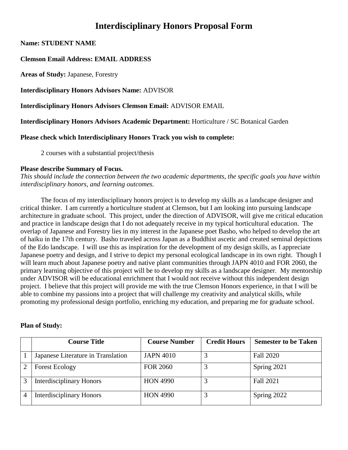# **Interdisciplinary Honors Proposal Form**

**Name: STUDENT NAME**

# **Clemson Email Address: EMAIL ADDRESS**

**Areas of Study:** Japanese, Forestry

**Interdisciplinary Honors Advisors Name:** ADVISOR

**Interdisciplinary Honors Advisors Clemson Email:** ADVISOR EMAIL

**Interdisciplinary Honors Advisors Academic Department:** Horticulture / SC Botanical Garden

**Please check which Interdisciplinary Honors Track you wish to complete:**

2 courses with a substantial project/thesis

#### **Please describe Summary of Focus.**

*This should include the connection between the two academic departments, the specific goals you have within interdisciplinary honors, and learning outcomes.*

The focus of my interdisciplinary honors project is to develop my skills as a landscape designer and critical thinker. I am currently a horticulture student at Clemson, but I am looking into pursuing landscape architecture in graduate school. This project, under the direction of ADVISOR, will give me critical education and practice in landscape design that I do not adequately receive in my typical horticultural education. The overlap of Japanese and Forestry lies in my interest in the Japanese poet Basho, who helped to develop the art of haiku in the 17th century. Basho traveled across Japan as a Buddhist ascetic and created seminal depictions of the Edo landscape. I will use this as inspiration for the development of my design skills, as I appreciate Japanese poetry and design, and I strive to depict my personal ecological landscape in its own right. Though I will learn much about Japanese poetry and native plant communities through JAPN 4010 and FOR 2060, the primary learning objective of this project will be to develop my skills as a landscape designer. My mentorship under ADVISOR will be educational enrichment that I would not receive without this independent design project. I believe that this project will provide me with the true Clemson Honors experience, in that I will be able to combine my passions into a project that will challenge my creativity and analytical skills, while promoting my professional design portfolio, enriching my education, and preparing me for graduate school.

#### **Plan of Study:**

| <b>Course Title</b>                | <b>Course Number</b> | <b>Credit Hours</b> | <b>Semester to be Taken</b> |
|------------------------------------|----------------------|---------------------|-----------------------------|
| Japanese Literature in Translation | <b>JAPN 4010</b>     |                     | <b>Fall 2020</b>            |
| <b>Forest Ecology</b>              | <b>FOR 2060</b>      |                     | Spring 2021                 |
| <b>Interdisciplinary Honors</b>    | <b>HON 4990</b>      |                     | <b>Fall 2021</b>            |
| <b>Interdisciplinary Honors</b>    | <b>HON 4990</b>      |                     | Spring 2022                 |